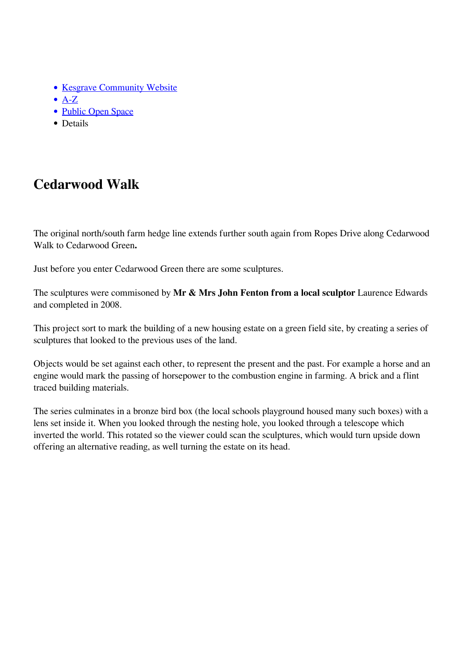- [Kesgrave Community Website](https://www.kesgrave.org.uk/kcw-home.html)
- $\bullet$  [A-Z](https://www.kesgrave.org.uk/kcw-a-z-info-link.html)
- [Public Open Space](https://www.kesgrave.org.uk/kcw-public-open-space.html)
- Details

## **Cedarwood Walk**

The original north/south farm hedge line extends further south again from Ropes Drive along Cedarwood Walk to Cedarwood Green**.**

Just before you enter Cedarwood Green there are some sculptures.

The sculptures were commisoned by **Mr & Mrs John Fenton from a local sculptor** Laurence Edwards and completed in 2008.

This project sort to mark the building of a new housing estate on a green field site, by creating a series of sculptures that looked to the previous uses of the land.

Objects would be set against each other, to represent the present and the past. For example a horse and an engine would mark the passing of horsepower to the combustion engine in farming. A brick and a flint traced building materials.

The series culminates in a bronze bird box (the local schools playground housed many such boxes) with a lens set inside it. When you looked through the nesting hole, you looked through a telescope which inverted the world. This rotated so the viewer could scan the sculptures, which would turn upside down offering an alternative reading, as well turning the estate on its head.